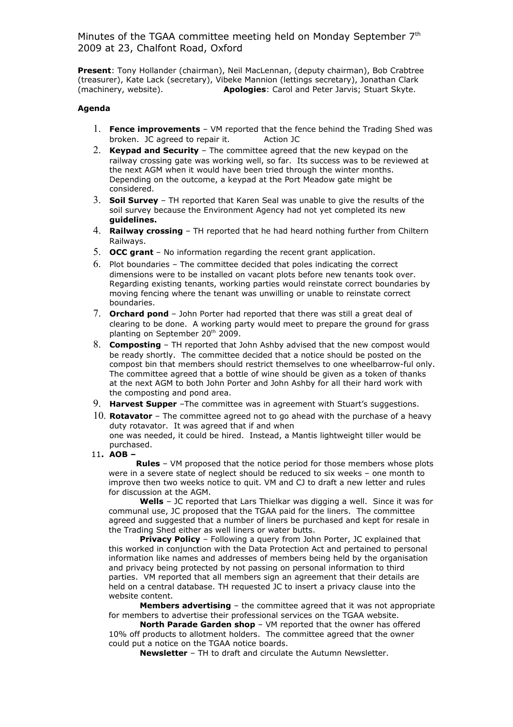Minutes of the TGAA committee meeting held on Monday September 7<sup>th</sup> 2009 at 23, Chalfont Road, Oxford

**Present**: Tony Hollander (chairman), Neil MacLennan, (deputy chairman), Bob Crabtree (treasurer), Kate Lack (secretary), Vibeke Mannion (lettings secretary), Jonathan Clark (machinery, website). **Apologies**: Carol and Peter Jarvis; Stuart Skyte.

## **Agenda**

- 1. **Fence improvements** VM reported that the fence behind the Trading Shed was broken. JC agreed to repair it. Action JC
- 2. **Keypad and Security** The committee agreed that the new keypad on the railway crossing gate was working well, so far. Its success was to be reviewed at the next AGM when it would have been tried through the winter months. Depending on the outcome, a keypad at the Port Meadow gate might be considered.
- 3. **Soil Survey** TH reported that Karen Seal was unable to give the results of the soil survey because the Environment Agency had not yet completed its new **guidelines.**
- 4. **Railway crossing** TH reported that he had heard nothing further from Chiltern Railways.
- 5. **OCC grant** No information regarding the recent grant application.
- 6. Plot boundaries The committee decided that poles indicating the correct dimensions were to be installed on vacant plots before new tenants took over. Regarding existing tenants, working parties would reinstate correct boundaries by moving fencing where the tenant was unwilling or unable to reinstate correct boundaries.
- 7. **Orchard pond** John Porter had reported that there was still a great deal of clearing to be done. A working party would meet to prepare the ground for grass planting on September 20<sup>th</sup> 2009.
- 8. **Composting** TH reported that John Ashby advised that the new compost would be ready shortly. The committee decided that a notice should be posted on the compost bin that members should restrict themselves to one wheelbarrow-ful only. The committee agreed that a bottle of wine should be given as a token of thanks at the next AGM to both John Porter and John Ashby for all their hard work with the composting and pond area.
- 9. **Harvest Supper** –The committee was in agreement with Stuart's suggestions.
- 10. **Rotavator**  The committee agreed not to go ahead with the purchase of a heavy duty rotavator. It was agreed that if and when one was needed, it could be hired. Instead, a Mantis lightweight tiller would be purchased.
- 11**. AOB –**

 **Rules** – VM proposed that the notice period for those members whose plots were in a severe state of neglect should be reduced to six weeks – one month to improve then two weeks notice to quit. VM and CJ to draft a new letter and rules for discussion at the AGM.

**Wells** – JC reported that Lars Thielkar was digging a well. Since it was for communal use, JC proposed that the TGAA paid for the liners. The committee agreed and suggested that a number of liners be purchased and kept for resale in the Trading Shed either as well liners or water butts.

**Privacy Policy** – Following a query from John Porter, JC explained that this worked in conjunction with the Data Protection Act and pertained to personal information like names and addresses of members being held by the organisation and privacy being protected by not passing on personal information to third parties. VM reported that all members sign an agreement that their details are held on a central database. TH requested JC to insert a privacy clause into the website content.

**Members advertising** – the committee agreed that it was not appropriate for members to advertise their professional services on the TGAA website.

**North Parade Garden shop** – VM reported that the owner has offered 10% off products to allotment holders. The committee agreed that the owner could put a notice on the TGAA notice boards.

**Newsletter** – TH to draft and circulate the Autumn Newsletter.